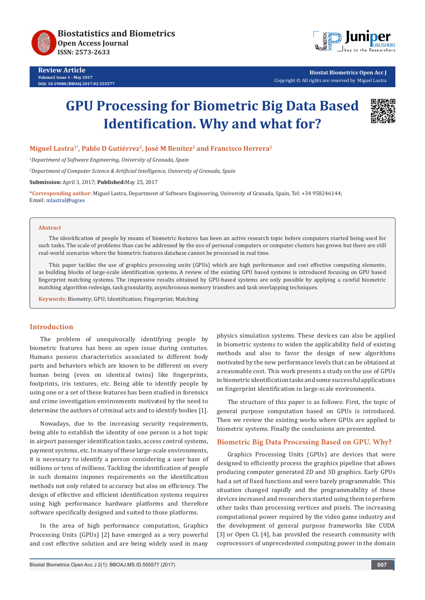

**Review Article Volume2 Issue 1 - May 2017 DOI: [10.19080/BBOAJ.2017.02.555577](http://dx.doi.org/10.19080/BBOAJ.2017.02.555577)**



**Biostat Biometrics Open Acc J** Copyright © All rights are reserved by Miguel Lastra

# **GPU Processing for Biometric Big Data Based Identification. Why and what for?**



# **Miguel Lastra1\*, Pablo D Gutiérrez2, José M Benítez2 and Francisco Herrera2**

*1 Department of Software Engineering, University of Granada, Spain*

*2 Department of Computer Science & Artificial Intelligence, University of Granada, Spain*

**Submission:** April 3, 2017; **Published:**May 25, 2017

**\*Corresponding author:** Miguel Lastra, Department of Software Engineering, University of Granada, Spain, Tel: +34 958246144; Email: mlastral@ugres

#### **Abstract**

The identification of people by means of biometric features has been an active research topic before computers started being used for such tasks. The scale of problems than can be addressed by the use of personal computers or computer clusters has grown but there are still real-world scenarios where the biometric features database cannot be processed in real time.

This paper tackles the use of graphics processing units (GPUs) which are high performance and cost effective computing elements, as building blocks of large-scale identification systems. A review of the existing GPU based systems is introduced focusing on GPU based fingerprint matching systems. The impressive results obtained by GPU-based systems are only possible by applying a careful biometric matching algorithm redesign, task granularity, asynchronous memory transfers and task overlapping techniques.

**Keywords:** Biometry; GPU; Identification; Fingerprint; Matching

### **Introduction**

The problem of unequivocally identifying people by biometric features has been an open issue during centuries. Humans possess characteristics associated to different body parts and behaviors which are known to be different on every human being (even on identical twins) like fingerprints, footprints, iris textures, etc. Being able to identify people by using one or a set of these features has been studied in forensics and crime investigation environments motivated by the need to determine the authors of criminal acts and to identify bodies [1].

Nowadays, due to the increasing security requirements, being able to establish the identity of one person is a hot topic in airport passenger identification tasks, access control systems, payment systems, etc. In many of these large-scale environments, it is necessary to identify a person considering a user base of millions or tens of millions. Tackling the identification of people in such domains imposes requirements on the identification methods not only related to accuracy but also on efficiency. The design of effective and efficient identification systems requires using high performance hardware platforms and therefore software specifically designed and suited to those platforms.

In the area of high performance computation, Graphics Processing Units (GPUs) [2] have emerged as a very powerful and cost effective solution and are being widely used in many

physics simulation systems. These devices can also be applied in biometric systems to widen the applicability field of existing methods and also to favor the design of new algorithms motivated by the new performance levels that can be obtained at a reasonable cost. This work presents a study on the use of GPUs in biometric identification tasks and some successful applications on fingerprint identification in large-scale environments.

The structure of this paper is as follows: First, the topic of general purpose computation based on GPUs is introduced. Then we review the existing works where GPUs are applied to biometric systems. Finally the conclusions are presented.

### **Biometric Big Data Processing Based on GPU. Why?**

Graphics Processing Units (GPUs) are devices that were designed to efficiently process the graphics pipeline that allows producing computer generated 2D and 3D graphics. Early GPUs had a set of fixed functions and were barely programmable. This situation changed rapidly and the programmability of these devices increased and researchers started using them to perform other tasks than processing vertices and pixels. The increasing computational power required by the video game industry and the development of general purpose frameworks like CUDA [3] or Open CL [4], has provided the research community with coprocessors of unprecedented computing power in the domain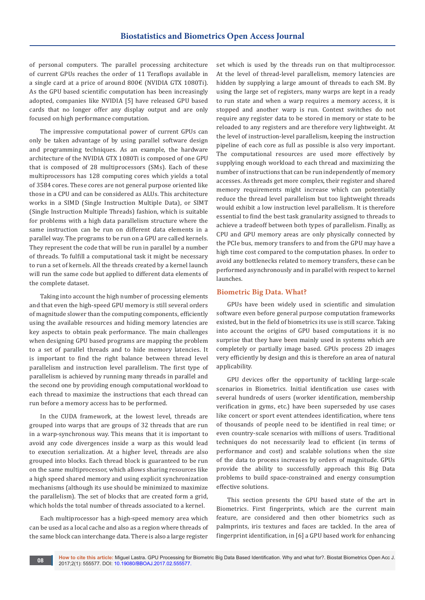of personal computers. The parallel processing architecture of current GPUs reaches the order of 11 Teraflops available in a single card at a price of around 800€ (NVIDIA GTX 1080Ti). As the GPU based scientific computation has been increasingly adopted, companies like NVIDIA [5] have released GPU based cards that no longer offer any display output and are only focused on high performance computation.

The impressive computational power of current GPUs can only be taken advantage of by using parallel software design and programming techniques. As an example, the hardware architecture of the NVIDIA GTX 1080Ti is composed of one GPU that is composed of 28 multiprocessors (SMs). Each of these multiprocessors has 128 computing cores which yields a total of 3584 cores. These cores are not general purpose oriented like those in a CPU and can be considered as ALUs. This architecture works in a SIMD (Single Instruction Multiple Data), or SIMT (Single Instruction Multiple Threads) fashion, which is suitable for problems with a high data parallelism structure where the same instruction can be run on different data elements in a parallel way. The programs to be run on a GPU are called kernels. They represent the code that will be run in parallel by a number of threads. To fulfill a computational task it might be necessary to run a set of kernels. All the threads created by a kernel launch will run the same code but applied to different data elements of the complete dataset.

Taking into account the high number of processing elements and that even the high-speed GPU memory is still several orders of magnitude slower than the computing components, efficiently using the available resources and hiding memory latencies are key aspects to obtain peak performance. The main challenges when designing GPU based programs are mapping the problem to a set of parallel threads and to hide memory latencies. It is important to find the right balance between thread level parallelism and instruction level parallelism. The first type of parallelism is achieved by running many threads in parallel and the second one by providing enough computational workload to each thread to maximize the instructions that each thread can run before a memory access has to be performed.

In the CUDA framework, at the lowest level, threads are grouped into warps that are groups of 32 threads that are run in a warp-synchronous way. This means that it is important to avoid any code divergences inside a warp as this would lead to execution serialization. At a higher level, threads are also grouped into blocks. Each thread block is guaranteed to be run on the same multiprocessor, which allows sharing resources like a high speed shared memory and using explicit synchronization mechanisms (although its use should be minimized to maximize the parallelism). The set of blocks that are created form a grid, which holds the total number of threads associated to a kernel.

Each multiprocessor has a high-speed memory area which can be used as a local cache and also as a region where threads of the same block can interchange data. There is also a large register

set which is used by the threads run on that multiprocessor. At the level of thread-level parallelism, memory latencies are hidden by supplying a large amount of threads to each SM. By using the large set of registers, many warps are kept in a ready to run state and when a warp requires a memory access, it is stopped and another warp is run. Context switches do not require any register data to be stored in memory or state to be reloaded to any registers and are therefore very lightweight. At the level of instruction-level parallelism, keeping the instruction pipeline of each core as full as possible is also very important. The computational resources are used more effectively by supplying enough workload to each thread and maximizing the number of instructions that can be run independently of memory accesses. As threads get more complex, their register and shared memory requirements might increase which can potentially reduce the thread level parallelism but too lightweight threads would exhibit a low instruction level parallelism. It is therefore essential to find the best task granularity assigned to threads to achieve a tradeoff between both types of parallelism. Finally, as CPU and GPU memory areas are only physically connected by the PCIe bus, memory transfers to and from the GPU may have a high time cost compared to the computation phases. In order to avoid any bottlenecks related to memory transfers, these can be performed asynchronously and in parallel with respect to kernel launches.

## **Biometric Big Data. What?**

GPUs have been widely used in scientific and simulation software even before general purpose computation frameworks existed, but in the field of biometrics its use is still scarce. Taking into account the origins of GPU based computations it is no surprise that they have been mainly used in systems which are completely or partially image based. GPUs process 2D images very efficiently by design and this is therefore an area of natural applicability.

GPU devices offer the opportunity of tackling large-scale scenarios in Biometrics. Initial identification use cases with several hundreds of users (worker identification, membership verification in gyms, etc.) have been superseded by use cases like concert or sport event attendees identification, where tens of thousands of people need to be identified in real time; or even country-scale scenarios with millions of users. Traditional techniques do not necessarily lead to efficient (in terms of performance and cost) and scalable solutions when the size of the data to process increases by orders of magnitude. GPUs provide the ability to successfully approach this Big Data problems to build space-constrained and energy consumption effective solutions.

This section presents the GPU based state of the art in Biometrics. First fingerprints, which are the current main feature, are considered and then other biometrics such as palmprints, iris textures and faces are tackled. In the area of fingerprint identification, in [6] a GPU based work for enhancing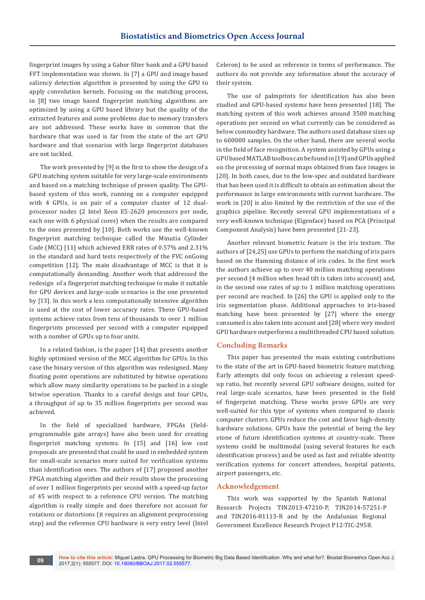fingerprint images by using a Gabor filter bank and a GPU based FFT implementation was shown. In [7] a GPU and image based saliency detection algorithm is presented by using the GPU to apply convolution kernels. Focusing on the matching process, in [8] two image based fingerprint matching algorithms are optimized by using a GPU based library but the quality of the extracted features and some problems due to memory transfers are not addressed. These works have in common that the hardware that was used is far from the state of the art GPU hardware and that scenarios with large fingerprint databases are not tackled.

The work presented by [9] is the first to show the design of a GPU matching system suitable for very large-scale environments and based on a matching technique of proven quality. The GPUbased system of this work, running on a computer equipped with 4 GPUs, is on pair of a computer cluster of 12 dualprocessor nodes (2 Intel Xeon E5-2620 processors per node, each one with 6 physical cores) when the results are compared to the ones presented by [10]. Both works use the well-known fingerprint matching technique called the Minutia Cylinder Code (MCC) [11] which achieved ERR rates of 0.57% and 2.31% in the standard and hard tests respectively of the FVC onGoing competition [12]. The main disadvantage of MCC is that it is computationally demanding. Another work that addressed the redesign of a fingerprint matching technique to make it suitable for GPU devices and large-scale scenarios is the one presented by [13]. In this work a less computationally intensive algorithm is used at the cost of lower accuracy rates. These GPU-based systems achieve rates from tens of thousands to over 1 million fingerprints processed per second with a computer equipped with a number of GPUs up to four units.

In a related fashion, is the paper [14] that presents another highly optimized version of the MCC algorithm for GPUs. In this case the binary version of this algorithm was redesigned. Many floating point operations are substituted by bitwise operations which allow many similarity operations to be packed in a single bitwise operation. Thanks to a careful design and four GPUs, a throughput of up to 35 million fingerprints per second was achieved.

In the field of specialized hardware, FPGAs (fieldprogrammable gate arrays) have also been used for creating fingerprint matching systems. In [15] and [16] low cost proposals are presented that could be used in embedded system for small-scale scenarios more suited for verification systems than identification ones. The authors of [17] proposed another FPGA matching algorithm and their results show the processing of over 1 million fingerprints per second with a speed-up factor of 45 with respect to a reference CPU version. The matching algorithm is really simple and does therefore not account for rotations or distortions (it requires an alignment preprocessing step) and the reference CPU hardware is very entry level (Intel Celeron) to be used as reference in terms of performance. The authors do not provide any information about the accuracy of their system.

The use of palmprints for identification has also been studied and GPU-based systems have been presented [18]. The matching system of this work achieves around 3500 matching operations per second on what currently can be considered as below commodity hardware. The authors used database sizes up to 600000 samples. On the other hand, there are several works in the field of face recognition. A system assisted by GPUs using a GPU based MATLAB toolbox can be found in [19] and GPUs applied on the processing of normal maps obtained from face images in [20]. In both cases, due to the low-spec and outdated hardware that has been used it is difficult to obtain an estimation about the performance in large environments with current hardware. The work in [20] is also limited by the restriction of the use of the graphics pipeline. Recently several GPU implementations of a very well-known technique (Eigenface) based on PCA (Principal Component Analysis) have been presented [21-23].

Another relevant biometric feature is the iris texture. The authors of [24,25] use GPUs to perform the matching of iris pairs based on the Hamming distance of iris codes. In the first work the authors achieve up to over 40 million matching operations per second (4 million when head tilt is taken into account) and, in the second one rates of up to 1 million matching operations per second are reached. In [26] the GPU is applied only to the iris segmentation phase. Additional approaches to iris-based matching have been presented by [27] where the energy consumed is also taken into account and [28] where very modest GPU hardware outperforms a multithreaded CPU based solution.

#### **Concluding Remarks**

This paper has presented the main existing contributions to the state of the art in GPU-based biometric feature matching. Early attempts did only focus on achieving a relevant speedup ratio, but recently several GPU software designs, suited for real large-scale scenarios, have been presented in the field of fingerprint matching. These works prove GPUs are very well-suited for this type of systems when compared to classic computer clusters. GPUs reduce the cost and favor high-density hardware solutions. GPUs have the potential of being the key stone of future identification systems at country-scale. These systems could be multimodal (using several features for each identification process) and be used as fast and reliable identity verification systems for concert attendees, hospital patients, airport passengers, etc.

## **Acknowledgement**

This work was supported by the Spanish National Research Projects TIN2013-47210-P, TIN2014-57251-P and TIN2016-81113-R and by the Andalusian Regional Government Excellence Research Project P12-TIC-2958.